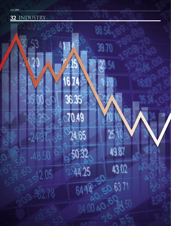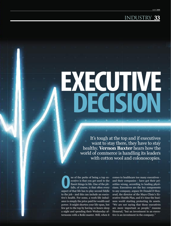# **EXECUTIVE DECISION**

It's tough at the top and if executives want to stay there, they have to stay healthy. **Vernon Baxter** hears how the world of commerce is handling its leaders with cotton wool and colonoscopies.

**O**as to per the perks of being a top executive is that you get used to the finest things in life. One of the pitfalls, of course, is that often every aspect of that life has to play second fiddle ne of the perks of being a top executive is that you get used to the finest things in life. One of the pitfalls, of course, is that often every to the job - and this can include an executive's health. For some, a work-life imbalance is simply the price paid for wealth and power. It might shorten your life-span, but few get to the top by having 10 hours sleep a night and spending their Wednesday afternoons with a Reiki master. Still, when it

comes to healthcare too many executives and their companies - have got their priorities wrong, according to leading physicians. Executives are the key components to any company, argues Dr Donald D Hensrud, the director of the Mayo Clinic's Executive Health Plan, and it's time the business world starting protecting its assets. "We are not saying that these executives are more important as people," reasons Hensrud, "but an investment in an executive is an investment in the company."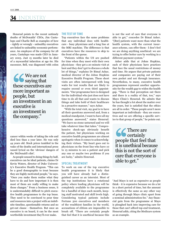Hensrud points to the recent untimely deaths of McDonalds' CEOs, Jim Cantalupo and Charlie Bell as examples of how - rightly or wrongly - unhealthy executives are linked to unhealthy economic performance. An employee of the company for 28 years, Cantalupo was made CEO in January 2003. Just 15 months later he died of a myocardial infarction at age 60. His successor, Bell, was diagnosed with colon

**C**<br>
Saying that<br>
these executives a<br>
more important a<br>
people, but saying that these executives are more important as people, but an investment in an executive is an investment in the company."

cancer within weeks of taking the role and died less than a year later. He was only 44 years old. Stock prices tumbled in the wake of the deaths and international press waxed lyrical on the 'obvious' dangers of the 'McDonald's diet'.

As people unused to doing things by half, executives can be ideal patients, claims Dr Kevin Waters, director of Duke University's Executive Health Program. "This can be a good demographic to treat because they are highly motivated people," he says. "Once you make them realise what they have to do and how important it is then most of them are really willing to make those changes." From a business sense, it is understandably difficult to pitch executive health programmes to the top brass. They need to be convinced to pour time and resources into a project with an indefinite timeline, questionable returns and no get-out clause - themselves. But once an executive is on board, it can be the most worthwhile investment they'll ever make.

#### **THE TEST OF TIME**

Top executives face the same problems that any individual does with healthcare - busy physicians and a long line at the MRI machine. The difference is that executives have the resources to skip to the front of the queue.

"Patients within the US are pushed for time when they meet with their own physicians - they get a 20 minute visit at best and they don't get to discuss a whole lot of things," explains Dr Bimal Ashar, medical director of the Johns Hopkins Executive Health Program. These short visits are often interspersed with long waits for test results that are likely to require second or even third appointments. "Our programme here is designed for the individual who just does not have time to do all that and wants to discuss things and take hold of their healthcare in a proactive manner," says Ashar.

"With the total visit, my goal is to have all their questions answered and, from a medical standpoint, I want to have all my questions answered," states Hensrud. "We leave no stone unturned and we will take whatever time that takes." Comprehensive check-ups obviously benefit the patient, but physicians working on executive health programmes are almost apologetic when it comes to acknowledging their virtues. "My heart goes out to physicians on the front line who have 10 to 15 minutes to see a patient and pick any one or maybe two problems if you are lucky," admits Henrsud.

#### **SPECIAL TREATMENT**

To work on one of the top executive health programmes it is likely that you will have already had a distinguished career as an internist. Most of the top institutions have a rotational policy where leading physicians will be completely available to the programme for a handful of days each month, keeping staff motivated and skill levels high. Considering typical patients include Fortune 500 executives and members of the wealthiest families in the world, accusations of elitism are impossible to brush off. "There are certainly people that feel that it is unethical because this is not the sort of care that everyone is able to get," concedes Dr Bimal Asher. "[But] patients want more than what the health system, with the current insurance scheme, can offer them - I don't feel we are doing anything unethical: we are trying to offer better care by working in a different payment system."

Asher adds that at Johns Hopkins, each of their physicians have practices that face the usual restrictions of money and time. He argues that private patients and companies are paying out of their own pocket and not through insurance. Nevertheless, to many, executive health programmes represent another opportunity for the wealth gap to widen the health gap. "There is that perception out there and there is a reality of that, too," says Mayo Clinic's Hensrud. He admits that he has thought a lot about the matter over the years, but is satisfied that the ethics are all in order. "These people aren't more important as individuals - they are executives and we are offering a specific service to that group of people," he points out.

**C**<br>
There are<br>
people that feel<br>
it is unethical bec<br>
this is not the son certainly people that feel that it is unethical because this is not the sort of care that everyone is able to get."

"And Mayo is not as expensive as people think - it is expensive because we do a lot in a short period of time, but the amount is effectively the same as any other way of going through Mayo clinic apart from a nominal administration fee." Any financial gain from the programme at Mayo is ploughed back into improving care for those that can't afford top-end treatment, Hensrud adds, citing the Medicare system as an example.